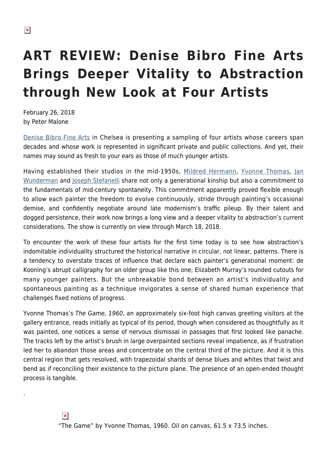.

## **ART REVIEW: Denise Bibro Fine Arts Brings Deeper Vitality to Abstraction through New Look at Four Artists**

February 26, 2018 by Peter Malone

[Denise Bibro Fine Arts](http://www.denisebibrofineart.com/) in Chelsea is presenting a sampling of four artists whose careers span decades and whose work is represented in significant private and public collections. And yet, their names may sound as fresh to your ears as those of much younger artists.

Having established their studios in the mid-1950s, [Mildred Hermann,](http://www.denisebibrofineart.com/artists/2168) [Yvonne Thomas](https://www.artsy.net/artist/yvonne-thomas), [Jan](http://www.denisebibrofineart.com/artists/2170) [Wunderman](http://www.denisebibrofineart.com/artists/2170) and [Joseph Stefanelli](https://en.wikipedia.org/wiki/Joe_Stefanelli_(painter)) share not only a generational kinship but also a commitment to the fundamentals of mid-century spontaneity. This commitment apparently proved flexible enough to allow each painter the freedom to evolve continuously, stride through painting's occasional demise, and confidently negotiate around late modernism's traffic pileup. By their talent and dogged persistence, their work now brings a long view and a deeper vitality to abstraction's current considerations. The show is currently on view through March 18, 2018.

To encounter the work of these four artists for the first time today is to see how abstraction's indomitable individuality structured the historical narrative in circular, not linear, patterns. There is a tendency to overstate traces of influence that declare each painter's generational moment: de Kooning's abrupt calligraphy for an older group like this one; Elizabeth Murray's rounded cutouts for many younger painters. But the unbreakable bond between an artist's individuality and spontaneous painting as a technique invigorates a sense of shared human experience that challenges fixed notions of progress.

Yvonne Thomas's The Game, 1960, an approximately six-foot high canvas greeting visitors at the gallery entrance, reads initially as typical of its period, though when considered as thoughtfully as it was painted, one notices a sense of nervous dismissal in passages that first looked like panache. The tracks left by the artist's brush in large overpainted sections reveal impatience, as if frustration led her to abandon those areas and concentrate on the central third of the picture. And it is this central region that gets resolved, with trapezoidal shards of dense blues and whites that twist and bend as if reconciling their existence to the picture plane. The presence of an open-ended thought process is tangible.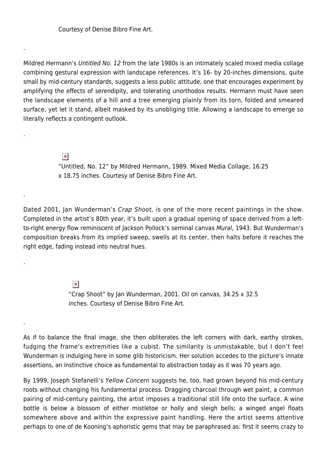Courtesy of Denise Bibro Fine Art.

.

.

.

.

.

Mildred Hermann's Untitled No. 12 from the late 1980s is an intimately scaled mixed media collage combining gestural expression with landscape references. It's 16- by 20-inches dimensions, quite small by mid-century standards, suggests a less public attitude, one that encourages experiment by amplifying the effects of serendipity, and tolerating unorthodox results. Hermann must have seen the landscape elements of a hill and a tree emerging plainly from its torn, folded and smeared surface, yet let it stand, albeit masked by its unobliging title. Allowing a landscape to emerge so literally reflects a contingent outlook.

> $\pmb{\times}$ "Untitled, No. 12" by Mildred Hermann, 1989. Mixed Media Collage, 16.25 x 18.75 inches. Courtesy of Denise Bibro Fine Art.

Dated 2001, Jan Wunderman's Crap Shoot, is one of the more recent paintings in the show. Completed in the artist's 80th year, it's built upon a gradual opening of space derived from a leftto-right energy flow reminiscent of Jackson Pollock's seminal canvas Mural, 1943. But Wunderman's composition breaks from its implied sweep, swells at its center, then halts before it reaches the right edge, fading instead into neutral hues.

> $\pmb{\times}$ "Crap Shoot" by Jan Wunderman, 2001. Oil on canvas, 34.25 x 32.5 inches. Courtesy of Denise Bibro Fine Art.

As if to balance the final image, she then obliterates the left corners with dark, earthy strokes, fudging the frame's extremities like a cubist. The similarity is unmistakable, but I don't feel Wunderman is indulging here in some glib historicism. Her solution accedes to the picture's innate assertions, an instinctive choice as fundamental to abstraction today as it was 70 years ago.

By 1999, Joseph Stefanelli's Yellow Concern suggests he, too, had grown beyond his mid-century roots without changing his fundamental process. Dragging charcoal through wet paint, a common pairing of mid-century painting, the artist imposes a traditional still life onto the surface. A wine bottle is below a blossom of either mistletoe or holly and sleigh bells; a winged angel floats somewhere above and within the expressive paint handling. Here the artist seems attentive perhaps to one of de Kooning's aphoristic gems that may be paraphrased as: first it seems crazy to